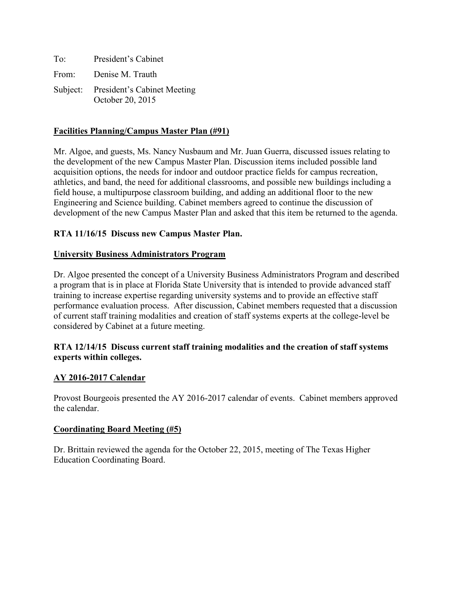| To:   | President's Cabinet                                      |
|-------|----------------------------------------------------------|
| From: | Denise M. Trauth                                         |
|       | Subject: President's Cabinet Meeting<br>October 20, 2015 |

### **Facilities Planning/Campus Master Plan (#91)**

Mr. Algoe, and guests, Ms. Nancy Nusbaum and Mr. Juan Guerra, discussed issues relating to the development of the new Campus Master Plan. Discussion items included possible land acquisition options, the needs for indoor and outdoor practice fields for campus recreation, athletics, and band, the need for additional classrooms, and possible new buildings including a field house, a multipurpose classroom building, and adding an additional floor to the new Engineering and Science building. Cabinet members agreed to continue the discussion of development of the new Campus Master Plan and asked that this item be returned to the agenda.

# **RTA 11/16/15 Discuss new Campus Master Plan.**

### **University Business Administrators Program**

Dr. Algoe presented the concept of a University Business Administrators Program and described a program that is in place at Florida State University that is intended to provide advanced staff training to increase expertise regarding university systems and to provide an effective staff performance evaluation process. After discussion, Cabinet members requested that a discussion of current staff training modalities and creation of staff systems experts at the college-level be considered by Cabinet at a future meeting.

### **RTA 12/14/15 Discuss current staff training modalities and the creation of staff systems experts within colleges.**

### **AY 2016-2017 Calendar**

Provost Bourgeois presented the AY 2016-2017 calendar of events. Cabinet members approved the calendar.

### **Coordinating Board Meeting (#5)**

Dr. Brittain reviewed the agenda for the October 22, 2015, meeting of The Texas Higher Education Coordinating Board.